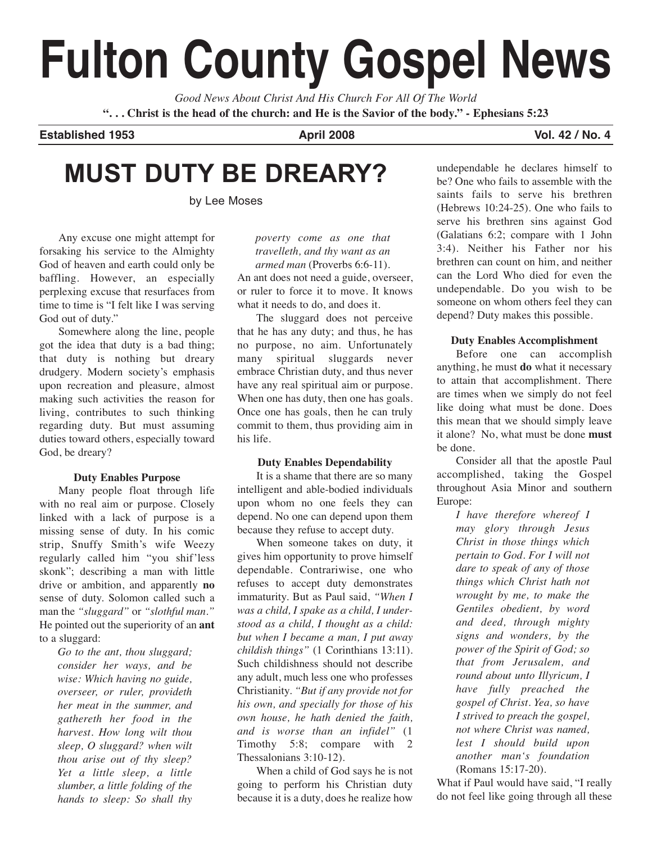# **Fulton County Gospel News**

*Good News About Christ And His Church For All Of The World* "... Christ is the head of the church: and He is the Savior of the body." - Ephesians 5:23

**Established 1953 April 2008 Vol. 42 / No. 4**

# **MUST DUTY BE DREARY?**

by Lee Moses

Any excuse one might attempt for forsaking his service to the Almighty God of heaven and earth could only be baffling. However, an especially perplexing excuse that resurfaces from time to time is "I felt like I was serving God out of duty."

Somewhere along the line, people got the idea that duty is a bad thing; that duty is nothing but dreary drudgery. Modern society's emphasis upon recreation and pleasure, almost making such activities the reason for living, contributes to such thinking regarding duty. But must assuming duties toward others, especially toward God, be dreary?

#### **Duty Enables Purpose**

Many people float through life with no real aim or purpose. Closely linked with a lack of purpose is a missing sense of duty. In his comic strip, Snuffy Smith's wife Weezy regularly called him "you shif'less skonk"; describing a man with little drive or ambition, and apparently **no** sense of duty. Solomon called such a man the *"sluggard"* or *"slothful man."* He pointed out the superiority of an **ant** to a sluggard:

*Go to the ant, thou sluggard; consider her ways, and be wise: Which having no guide, overseer, or ruler, provideth her meat in the summer, and gathereth her food in the harvest. How long wilt thou sleep, O sluggard? when wilt thou arise out of thy sleep? Yet a little sleep, a little slumber, a little folding of the hands to sleep: So shall thy*

*poverty come as one that travelleth, and thy want as an armed man* (Proverbs 6:6-11).

An ant does not need a guide, overseer, or ruler to force it to move. It knows what it needs to do, and does it.

The sluggard does not perceive that he has any duty; and thus, he has no purpose, no aim. Unfortunately many spiritual sluggards never embrace Christian duty, and thus never have any real spiritual aim or purpose. When one has duty, then one has goals. Once one has goals, then he can truly commit to them, thus providing aim in his life.

#### **Duty Enables Dependability**

It is a shame that there are so many intelligent and able-bodied individuals upon whom no one feels they can depend. No one can depend upon them because they refuse to accept duty.

When someone takes on duty, it gives him opportunity to prove himself dependable. Contrariwise, one who refuses to accept duty demonstrates immaturity. But as Paul said, *"When I was a child, I spake as a child, I understood as a child, I thought as a child: but when I became a man, I put away childish things"* (1 Corinthians 13:11). Such childishness should not describe any adult, much less one who professes Christianity. *"But if any provide not for his own, and specially for those of his own house, he hath denied the faith, and is worse than an infidel"* (1 Timothy 5:8; compare with 2 Thessalonians 3:10-12).

When a child of God says he is not going to perform his Christian duty because it is a duty, does he realize how

undependable he declares himself to be? One who fails to assemble with the saints fails to serve his brethren (Hebrews 10:24-25). One who fails to serve his brethren sins against God (Galatians 6:2; compare with 1 John 3:4). Neither his Father nor his brethren can count on him, and neither can the Lord Who died for even the undependable. Do you wish to be someone on whom others feel they can depend? Duty makes this possible.

#### **Duty Enables Accomplishment**

Before one can accomplish anything, he must **do** what it necessary to attain that accomplishment. There are times when we simply do not feel like doing what must be done. Does this mean that we should simply leave it alone? No, what must be done **must** be done.

Consider all that the apostle Paul accomplished, taking the Gospel throughout Asia Minor and southern Europe:

*I have therefore whereof I may glory through Jesus Christ in those things which pertain to God. For I will not dare to speak of any of those things which Christ hath not wrought by me, to make the Gentiles obedient, by word and deed, through mighty signs and wonders, by the power of the Spirit of God; so that from Jerusalem, and round about unto Illyricum, I have fully preached the gospel of Christ. Yea, so have I strived to preach the gospel, not where Christ was named, lest I should build upon another man's foundation* (Romans 15:17-20).

What if Paul would have said, "I really do not feel like going through all these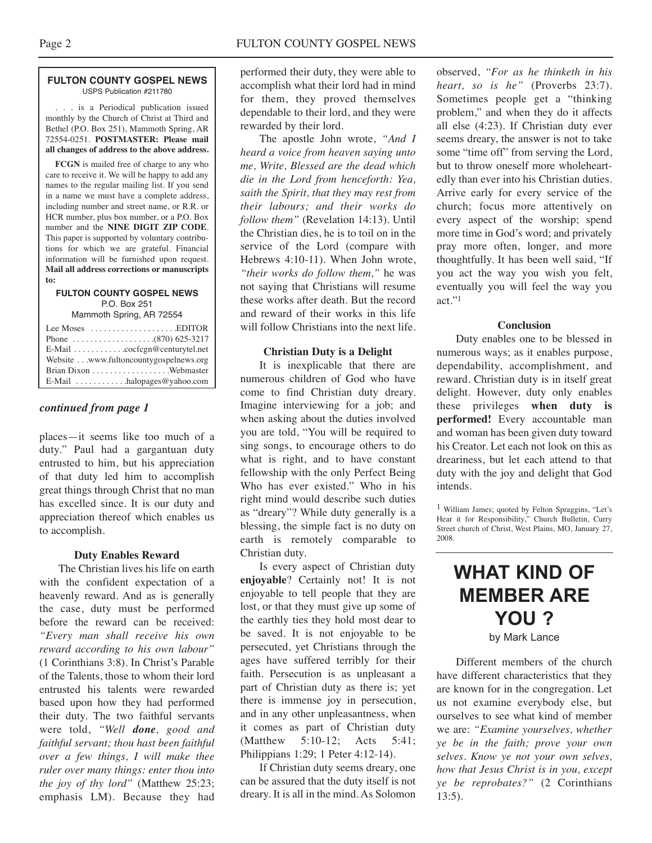#### **FULTON COUNTY GOSPEL NEWS** USPS Publication #211780

. . . is a Periodical publication issued monthly by the Church of Christ at Third and Bethel (P.O. Box 251), Mammoth Spring, AR 72554-0251. **POSTMASTER: Please mail all changes of address to the above address.**

**FCGN** is mailed free of charge to any who care to receive it. We will be happy to add any names to the regular mailing list. If you send in a name we must have a complete address, including number and street name, or R.R. or HCR number, plus box number, or a P.O. Box number and the **NINE DIGIT ZIP CODE**. This paper is supported by voluntary contributions for which we are grateful. Financial information will be furnished upon request. **Mail all address corrections or manuscripts to:**

#### **FULTON COUNTY GOSPEL NEWS** P.O. Box 251

Mammoth Spring, AR 72554

| Lee Moses $\dots\dots\dots\dots\dots\dots$ . EDITOR |  |
|-----------------------------------------------------|--|
|                                                     |  |
|                                                     |  |
| Website www.fultoncountygospelnews.org              |  |
|                                                     |  |
| E-Mail $\ldots \ldots \ldots$ halopages @ yahoo.com |  |

#### *continued from page 1*

places—it seems like too much of a duty." Paul had a gargantuan duty entrusted to him, but his appreciation of that duty led him to accomplish great things through Christ that no man has excelled since. It is our duty and appreciation thereof which enables us to accomplish.

#### **Duty Enables Reward**

The Christian lives his life on earth with the confident expectation of a heavenly reward. And as is generally the case, duty must be performed before the reward can be received: *"Every man shall receive his own reward according to his own labour"* (1 Corinthians 3:8). In Christ's Parable of the Talents, those to whom their lord entrusted his talents were rewarded based upon how they had performed their duty. The two faithful servants were told, *"Well done, good and faithful servant; thou hast been faithful over a few things, I will make thee ruler over many things: enter thou into the joy of thy lord"* (Matthew 25:23; emphasis LM). Because they had

performed their duty, they were able to accomplish what their lord had in mind for them, they proved themselves dependable to their lord, and they were rewarded by their lord.

The apostle John wrote, *"And I heard a voice from heaven saying unto me, Write, Blessed are the dead which die in the Lord from henceforth: Yea, saith the Spirit, that they may rest from their labours; and their works do follow them"* (Revelation 14:13). Until the Christian dies, he is to toil on in the service of the Lord (compare with Hebrews 4:10-11). When John wrote, *"their works do follow them,"* he was not saying that Christians will resume these works after death. But the record and reward of their works in this life will follow Christians into the next life.

#### **Christian Duty is a Delight**

It is inexplicable that there are numerous children of God who have come to find Christian duty dreary. Imagine interviewing for a job; and when asking about the duties involved you are told, "You will be required to sing songs, to encourage others to do what is right, and to have constant fellowship with the only Perfect Being Who has ever existed." Who in his right mind would describe such duties as "dreary"? While duty generally is a blessing, the simple fact is no duty on earth is remotely comparable to Christian duty.

Is every aspect of Christian duty **enjoyable**? Certainly not! It is not enjoyable to tell people that they are lost, or that they must give up some of the earthly ties they hold most dear to be saved. It is not enjoyable to be persecuted, yet Christians through the ages have suffered terribly for their faith. Persecution is as unpleasant a part of Christian duty as there is; yet there is immense joy in persecution, and in any other unpleasantness, when it comes as part of Christian duty (Matthew 5:10-12; Acts 5:41; Philippians 1:29; 1 Peter 4:12-14).

If Christian duty seems dreary, one can be assured that the duty itself is not dreary. It is all in the mind. As Solomon

observed, *"For as he thinketh in his heart, so is he"* (Proverbs 23:7). Sometimes people get a "thinking problem," and when they do it affects all else (4:23). If Christian duty ever seems dreary, the answer is not to take some "time off" from serving the Lord, but to throw oneself more wholeheartedly than ever into his Christian duties. Arrive early for every service of the church; focus more attentively on every aspect of the worship; spend more time in God's word; and privately pray more often, longer, and more thoughtfully. It has been well said, "If you act the way you wish you felt, eventually you will feel the way you act."1

#### **Conclusion**

Duty enables one to be blessed in numerous ways; as it enables purpose, dependability, accomplishment, and reward. Christian duty is in itself great delight. However, duty only enables these privileges **when duty is performed!** Every accountable man and woman has been given duty toward his Creator. Let each not look on this as dreariness, but let each attend to that duty with the joy and delight that God intends.

1 William James; quoted by Felton Spraggins, "Let's Hear it for Responsibility," Church Bulletin, Curry Street church of Christ, West Plains, MO, January 27, 2008.

## **WHAT KIND OF MEMBER ARE YOU ?** by Mark Lance

Different members of the church have different characteristics that they are known for in the congregation. Let us not examine everybody else, but ourselves to see what kind of member we are: *"Examine yourselves, whether ye be in the faith; prove your own selves. Know ye not your own selves, how that Jesus Christ is in you, except ye be reprobates?"* (2 Corinthians 13:5).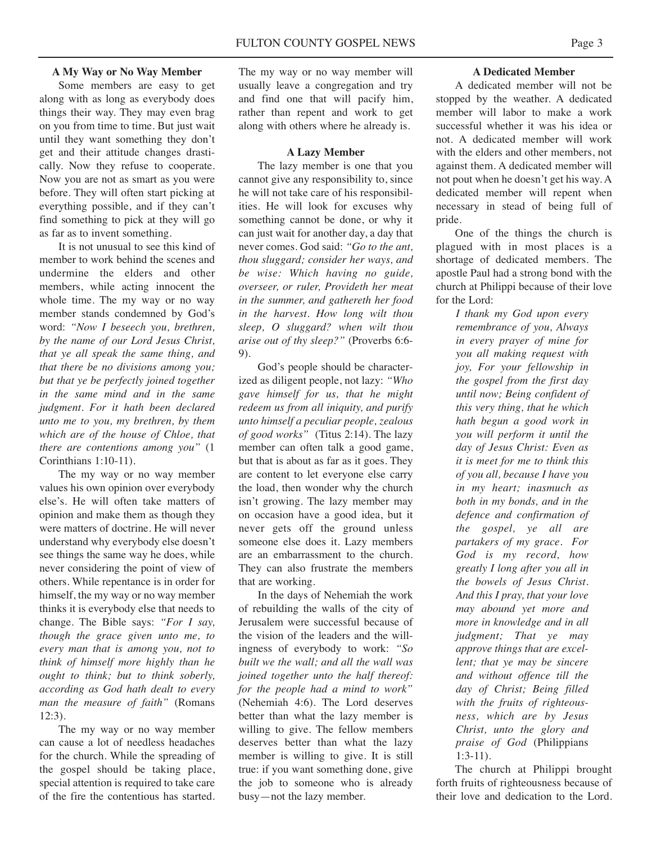#### **A My Way or No Way Member**

Some members are easy to get along with as long as everybody does things their way. They may even brag on you from time to time. But just wait until they want something they don't get and their attitude changes drastically. Now they refuse to cooperate. Now you are not as smart as you were before. They will often start picking at everything possible, and if they can't find something to pick at they will go as far as to invent something.

It is not unusual to see this kind of member to work behind the scenes and undermine the elders and other members, while acting innocent the whole time. The my way or no way member stands condemned by God's word: *"Now I beseech you, brethren, by the name of our Lord Jesus Christ, that ye all speak the same thing, and that there be no divisions among you; but that ye be perfectly joined together in the same mind and in the same judgment. For it hath been declared unto me to you, my brethren, by them which are of the house of Chloe, that there are contentions among you"* (1 Corinthians 1:10-11).

The my way or no way member values his own opinion over everybody else's. He will often take matters of opinion and make them as though they were matters of doctrine. He will never understand why everybody else doesn't see things the same way he does, while never considering the point of view of others. While repentance is in order for himself, the my way or no way member thinks it is everybody else that needs to change. The Bible says: *"For I say, though the grace given unto me, to every man that is among you, not to think of himself more highly than he ought to think; but to think soberly, according as God hath dealt to every man the measure of faith"* (Romans 12:3).

The my way or no way member can cause a lot of needless headaches for the church. While the spreading of the gospel should be taking place, special attention is required to take care of the fire the contentious has started. The my way or no way member will usually leave a congregation and try and find one that will pacify him, rather than repent and work to get along with others where he already is.

#### **A Lazy Member**

The lazy member is one that you cannot give any responsibility to, since he will not take care of his responsibilities. He will look for excuses why something cannot be done, or why it can just wait for another day, a day that never comes. God said: *"Go to the ant, thou sluggard; consider her ways, and be wise: Which having no guide, overseer, or ruler, Provideth her meat in the summer, and gathereth her food in the harvest. How long wilt thou sleep, O sluggard? when wilt thou arise out of thy sleep?"* (Proverbs 6:6- 9).

God's people should be characterized as diligent people, not lazy: *"Who gave himself for us, that he might redeem us from all iniquity, and purify unto himself a peculiar people, zealous of good works"* (Titus 2:14). The lazy member can often talk a good game, but that is about as far as it goes. They are content to let everyone else carry the load, then wonder why the church isn't growing. The lazy member may on occasion have a good idea, but it never gets off the ground unless someone else does it. Lazy members are an embarrassment to the church. They can also frustrate the members that are working.

In the days of Nehemiah the work of rebuilding the walls of the city of Jerusalem were successful because of the vision of the leaders and the willingness of everybody to work: *"So built we the wall; and all the wall was joined together unto the half thereof: for the people had a mind to work"* (Nehemiah 4:6). The Lord deserves better than what the lazy member is willing to give. The fellow members deserves better than what the lazy member is willing to give. It is still true: if you want something done, give the job to someone who is already busy—not the lazy member.

#### **A Dedicated Member**

A dedicated member will not be stopped by the weather. A dedicated member will labor to make a work successful whether it was his idea or not. A dedicated member will work with the elders and other members, not against them. A dedicated member will not pout when he doesn't get his way. A dedicated member will repent when necessary in stead of being full of pride.

One of the things the church is plagued with in most places is a shortage of dedicated members. The apostle Paul had a strong bond with the church at Philippi because of their love for the Lord:

*I thank my God upon every remembrance of you, Always in every prayer of mine for you all making request with joy, For your fellowship in the gospel from the first day until now; Being confident of this very thing, that he which hath begun a good work in you will perform it until the day of Jesus Christ: Even as it is meet for me to think this of you all, because I have you in my heart; inasmuch as both in my bonds, and in the defence and confirmation of the gospel, ye all are partakers of my grace. For God is my record, how greatly I long after you all in the bowels of Jesus Christ. And this I pray, that your love may abound yet more and more in knowledge and in all judgment; That ye may approve things that are excellent; that ye may be sincere and without offence till the day of Christ; Being filled with the fruits of righteousness, which are by Jesus Christ, unto the glory and praise of God* (Philippians 1:3-11).

The church at Philippi brought forth fruits of righteousness because of their love and dedication to the Lord.